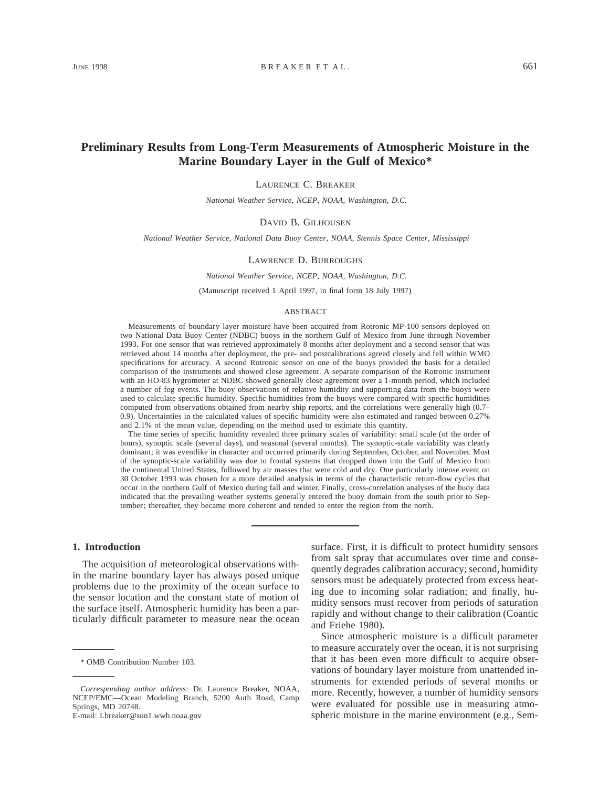# **Preliminary Results from Long-Term Measurements of Atmospheric Moisture in the Marine Boundary Layer in the Gulf of Mexico\***

LAURENCE C. BREAKER

*National Weather Service, NCEP, NOAA, Washington, D.C.*

## DAVID B. GILHOUSEN

*National Weather Service, National Data Buoy Center, NOAA, Stennis Space Center, Mississippi*

LAWRENCE D. BURROUGHS

*National Weather Service, NCEP, NOAA, Washington, D.C.*

(Manuscript received 1 April 1997, in final form 18 July 1997)

#### ABSTRACT

Measurements of boundary layer moisture have been acquired from Rotronic MP-100 sensors deployed on two National Data Buoy Center (NDBC) buoys in the northern Gulf of Mexico from June through November 1993. For one sensor that was retrieved approximately 8 months after deployment and a second sensor that was retrieved about 14 months after deployment, the pre- and postcalibrations agreed closely and fell within WMO specifications for accuracy. A second Rotronic sensor on one of the buoys provided the basis for a detailed comparison of the instruments and showed close agreement. A separate comparison of the Rotronic instrument with an HO-83 hygrometer at NDBC showed generally close agreement over a 1-month period, which included a number of fog events. The buoy observations of relative humidity and supporting data from the buoys were used to calculate specific humidity. Specific humidities from the buoys were compared with specific humidities computed from observations obtained from nearby ship reports, and the correlations were generally high (0.7– 0.9). Uncertainties in the calculated values of specific humidity were also estimated and ranged between 0.27% and 2.1% of the mean value, depending on the method used to estimate this quantity.

The time series of specific humidity revealed three primary scales of variability: small scale (of the order of hours), synoptic scale (several days), and seasonal (several months). The synoptic-scale variability was clearly dominant; it was eventlike in character and occurred primarily during September, October, and November. Most of the synoptic-scale variability was due to frontal systems that dropped down into the Gulf of Mexico from the continental United States, followed by air masses that were cold and dry. One particularly intense event on 30 October 1993 was chosen for a more detailed analysis in terms of the characteristic return-flow cycles that occur in the northern Gulf of Mexico during fall and winter. Finally, cross-correlation analyses of the buoy data indicated that the prevailing weather systems generally entered the buoy domain from the south prior to September; thereafter, they became more coherent and tended to enter the region from the north.

# **1. Introduction**

The acquisition of meteorological observations within the marine boundary layer has always posed unique problems due to the proximity of the ocean surface to the sensor location and the constant state of motion of the surface itself. Atmospheric humidity has been a particularly difficult parameter to measure near the ocean

E-mail: Lbreaker@sun1.wwb.noaa.gov

surface. First, it is difficult to protect humidity sensors from salt spray that accumulates over time and consequently degrades calibration accuracy; second, humidity sensors must be adequately protected from excess heating due to incoming solar radiation; and finally, humidity sensors must recover from periods of saturation rapidly and without change to their calibration (Coantic and Friehe 1980).

Since atmospheric moisture is a difficult parameter to measure accurately over the ocean, it is not surprising that it has been even more difficult to acquire observations of boundary layer moisture from unattended instruments for extended periods of several months or more. Recently, however, a number of humidity sensors were evaluated for possible use in measuring atmospheric moisture in the marine environment (e.g., Sem-

<sup>\*</sup> OMB Contribution Number 103.

*Corresponding author address:* Dr. Laurence Breaker, NOAA, NCEP/EMC—Ocean Modeling Branch, 5200 Auth Road, Camp Springs, MD 20748.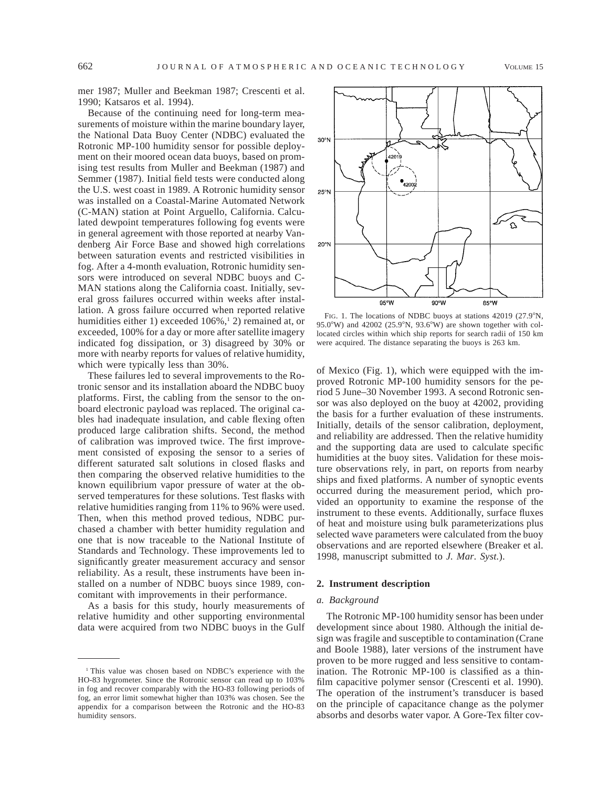mer 1987; Muller and Beekman 1987; Crescenti et al. 1990; Katsaros et al. 1994).

Because of the continuing need for long-term measurements of moisture within the marine boundary layer, the National Data Buoy Center (NDBC) evaluated the Rotronic MP-100 humidity sensor for possible deployment on their moored ocean data buoys, based on promising test results from Muller and Beekman (1987) and Semmer (1987). Initial field tests were conducted along the U.S. west coast in 1989. A Rotronic humidity sensor was installed on a Coastal-Marine Automated Network (C-MAN) station at Point Arguello, California. Calculated dewpoint temperatures following fog events were in general agreement with those reported at nearby Vandenberg Air Force Base and showed high correlations between saturation events and restricted visibilities in fog. After a 4-month evaluation, Rotronic humidity sensors were introduced on several NDBC buoys and C-MAN stations along the California coast. Initially, several gross failures occurred within weeks after installation. A gross failure occurred when reported relative humidities either 1) exceeded  $106\%, 12$  remained at, or exceeded, 100% for a day or more after satellite imagery indicated fog dissipation, or 3) disagreed by 30% or more with nearby reports for values of relative humidity, which were typically less than 30%.

These failures led to several improvements to the Rotronic sensor and its installation aboard the NDBC buoy platforms. First, the cabling from the sensor to the onboard electronic payload was replaced. The original cables had inadequate insulation, and cable flexing often produced large calibration shifts. Second, the method of calibration was improved twice. The first improvement consisted of exposing the sensor to a series of different saturated salt solutions in closed flasks and then comparing the observed relative humidities to the known equilibrium vapor pressure of water at the observed temperatures for these solutions. Test flasks with relative humidities ranging from 11% to 96% were used. Then, when this method proved tedious, NDBC purchased a chamber with better humidity regulation and one that is now traceable to the National Institute of Standards and Technology. These improvements led to significantly greater measurement accuracy and sensor reliability. As a result, these instruments have been installed on a number of NDBC buoys since 1989, concomitant with improvements in their performance.

As a basis for this study, hourly measurements of relative humidity and other supporting environmental data were acquired from two NDBC buoys in the Gulf



FIG. 1. The locations of NDBC buoys at stations 42019 (27.9°N,  $95.0^{\circ}$ W) and  $42002$  (25.9°N,  $93.6^{\circ}$ W) are shown together with collocated circles within which ship reports for search radii of 150 km were acquired. The distance separating the buoys is 263 km.

of Mexico (Fig. 1), which were equipped with the improved Rotronic MP-100 humidity sensors for the period 5 June–30 November 1993. A second Rotronic sensor was also deployed on the buoy at 42002, providing the basis for a further evaluation of these instruments. Initially, details of the sensor calibration, deployment, and reliability are addressed. Then the relative humidity and the supporting data are used to calculate specific humidities at the buoy sites. Validation for these moisture observations rely, in part, on reports from nearby ships and fixed platforms. A number of synoptic events occurred during the measurement period, which provided an opportunity to examine the response of the instrument to these events. Additionally, surface fluxes of heat and moisture using bulk parameterizations plus selected wave parameters were calculated from the buoy observations and are reported elsewhere (Breaker et al. 1998, manuscript submitted to *J. Mar. Syst.*).

# **2. Instrument description**

#### *a. Background*

The Rotronic MP-100 humidity sensor has been under development since about 1980. Although the initial design was fragile and susceptible to contamination (Crane and Boole 1988), later versions of the instrument have proven to be more rugged and less sensitive to contamination. The Rotronic MP-100 is classified as a thinfilm capacitive polymer sensor (Crescenti et al. 1990). The operation of the instrument's transducer is based on the principle of capacitance change as the polymer absorbs and desorbs water vapor. A Gore-Tex filter cov-

<sup>1</sup> This value was chosen based on NDBC's experience with the HO-83 hygrometer. Since the Rotronic sensor can read up to 103% in fog and recover comparably with the HO-83 following periods of fog, an error limit somewhat higher than 103% was chosen. See the appendix for a comparison between the Rotronic and the HO-83 humidity sensors.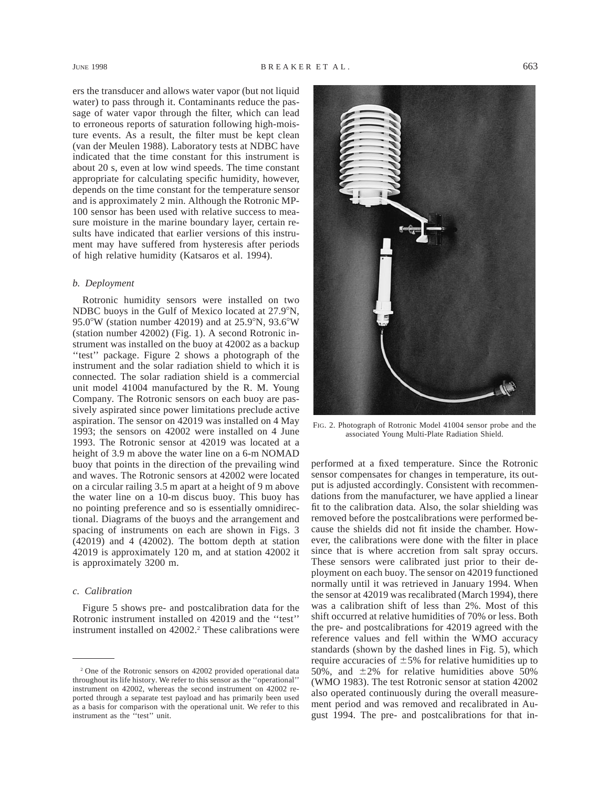ers the transducer and allows water vapor (but not liquid water) to pass through it. Contaminants reduce the passage of water vapor through the filter, which can lead to erroneous reports of saturation following high-moisture events. As a result, the filter must be kept clean (van der Meulen 1988). Laboratory tests at NDBC have indicated that the time constant for this instrument is about 20 s, even at low wind speeds. The time constant appropriate for calculating specific humidity, however, depends on the time constant for the temperature sensor and is approximately 2 min. Although the Rotronic MP-100 sensor has been used with relative success to measure moisture in the marine boundary layer, certain results have indicated that earlier versions of this instrument may have suffered from hysteresis after periods of high relative humidity (Katsaros et al. 1994).

## *b. Deployment*

Rotronic humidity sensors were installed on two NDBC buoys in the Gulf of Mexico located at 27.9°N,  $95.0^{\circ}$ W (station number 42019) and at 25.9°N, 93.6°W (station number 42002) (Fig. 1). A second Rotronic instrument was installed on the buoy at 42002 as a backup "test" package. Figure 2 shows a photograph of the instrument and the solar radiation shield to which it is connected. The solar radiation shield is a commercial unit model 41004 manufactured by the R. M. Young Company. The Rotronic sensors on each buoy are passively aspirated since power limitations preclude active aspiration. The sensor on 42019 was installed on 4 May 1993; the sensors on 42002 were installed on 4 June 1993. The Rotronic sensor at 42019 was located at a height of 3.9 m above the water line on a 6-m NOMAD buoy that points in the direction of the prevailing wind and waves. The Rotronic sensors at 42002 were located on a circular railing 3.5 m apart at a height of 9 m above the water line on a 10-m discus buoy. This buoy has no pointing preference and so is essentially omnidirectional. Diagrams of the buoys and the arrangement and spacing of instruments on each are shown in Figs. 3 (42019) and 4 (42002). The bottom depth at station 42019 is approximately 120 m, and at station 42002 it is approximately 3200 m.

# *c. Calibration*

Figure 5 shows pre- and postcalibration data for the Rotronic instrument installed on 42019 and the ''test'' instrument installed on 42002.<sup>2</sup> These calibrations were



FIG. 2. Photograph of Rotronic Model 41004 sensor probe and the associated Young Multi-Plate Radiation Shield.

performed at a fixed temperature. Since the Rotronic sensor compensates for changes in temperature, its output is adjusted accordingly. Consistent with recommendations from the manufacturer, we have applied a linear fit to the calibration data. Also, the solar shielding was removed before the postcalibrations were performed because the shields did not fit inside the chamber. However, the calibrations were done with the filter in place since that is where accretion from salt spray occurs. These sensors were calibrated just prior to their deployment on each buoy. The sensor on 42019 functioned normally until it was retrieved in January 1994. When the sensor at 42019 was recalibrated (March 1994), there was a calibration shift of less than 2%. Most of this shift occurred at relative humidities of 70% or less. Both the pre- and postcalibrations for 42019 agreed with the reference values and fell within the WMO accuracy standards (shown by the dashed lines in Fig. 5), which require accuracies of  $\pm 5\%$  for relative humidities up to 50%, and  $\pm 2$ % for relative humidities above 50% (WMO 1983). The test Rotronic sensor at station 42002 also operated continuously during the overall measurement period and was removed and recalibrated in August 1994. The pre- and postcalibrations for that in-

<sup>2</sup> One of the Rotronic sensors on 42002 provided operational data throughout its life history. We refer to this sensor as the ''operational'' instrument on 42002, whereas the second instrument on 42002 reported through a separate test payload and has primarily been used as a basis for comparison with the operational unit. We refer to this instrument as the ''test'' unit.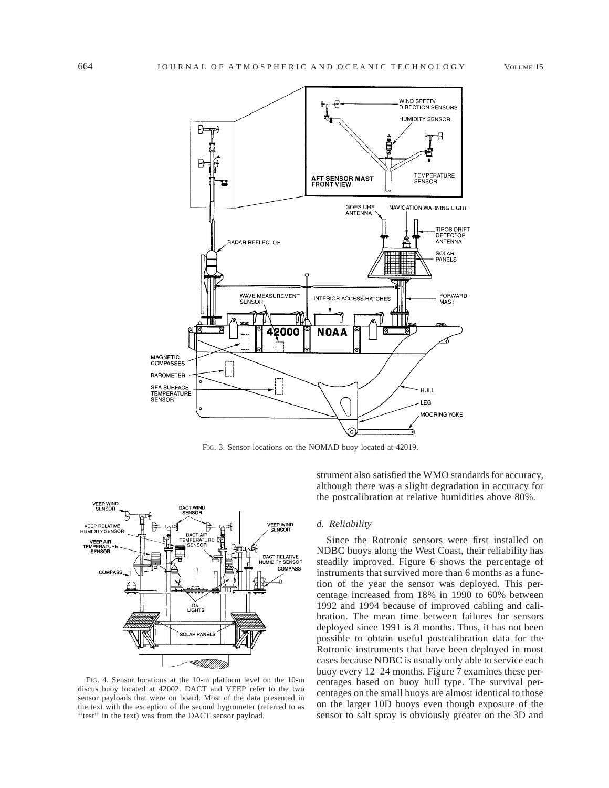

FIG. 3. Sensor locations on the NOMAD buoy located at 42019.



FIG. 4. Sensor locations at the 10-m platform level on the 10-m discus buoy located at 42002. DACT and VEEP refer to the two sensor payloads that were on board. Most of the data presented in the text with the exception of the second hygrometer (referred to as "test" in the text) was from the DACT sensor payload.

strument also satisfied the WMO standards for accuracy, although there was a slight degradation in accuracy for the postcalibration at relative humidities above 80%.

#### *d. Reliability*

Since the Rotronic sensors were first installed on NDBC buoys along the West Coast, their reliability has steadily improved. Figure 6 shows the percentage of instruments that survived more than 6 months as a function of the year the sensor was deployed. This percentage increased from 18% in 1990 to 60% between 1992 and 1994 because of improved cabling and calibration. The mean time between failures for sensors deployed since 1991 is 8 months. Thus, it has not been possible to obtain useful postcalibration data for the Rotronic instruments that have been deployed in most cases because NDBC is usually only able to service each buoy every 12–24 months. Figure 7 examines these percentages based on buoy hull type. The survival percentages on the small buoys are almost identical to those on the larger 10D buoys even though exposure of the sensor to salt spray is obviously greater on the 3D and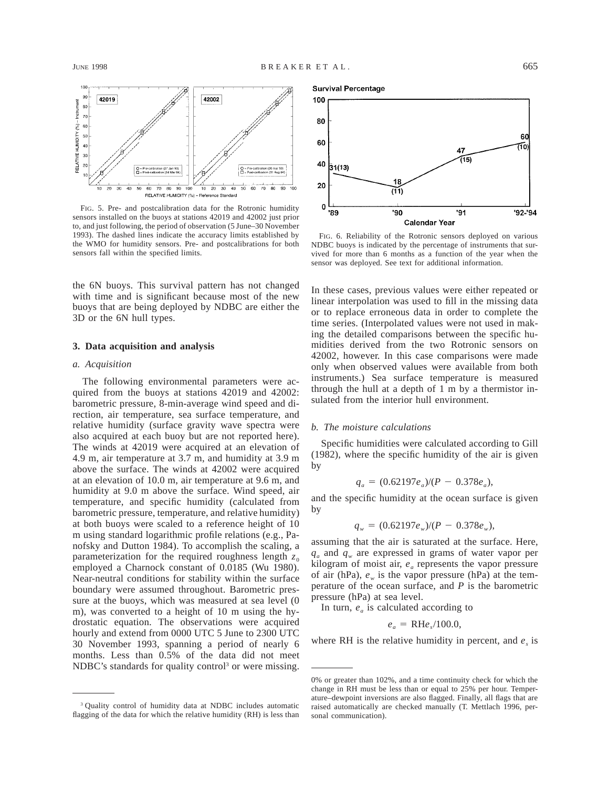

FIG. 5. Pre- and postcalibration data for the Rotronic humidity sensors installed on the buoys at stations 42019 and 42002 just prior to, and just following, the period of observation (5 June–30 November 1993). The dashed lines indicate the accuracy limits established by the WMO for humidity sensors. Pre- and postcalibrations for both sensors fall within the specified limits.

the 6N buoys. This survival pattern has not changed with time and is significant because most of the new buoys that are being deployed by NDBC are either the 3D or the 6N hull types.

## **3. Data acquisition and analysis**

## *a. Acquisition*

The following environmental parameters were acquired from the buoys at stations 42019 and 42002: barometric pressure, 8-min-average wind speed and direction, air temperature, sea surface temperature, and relative humidity (surface gravity wave spectra were also acquired at each buoy but are not reported here). The winds at 42019 were acquired at an elevation of 4.9 m, air temperature at 3.7 m, and humidity at 3.9 m above the surface. The winds at 42002 were acquired at an elevation of 10.0 m, air temperature at 9.6 m, and humidity at 9.0 m above the surface. Wind speed, air temperature, and specific humidity (calculated from barometric pressure, temperature, and relative humidity) at both buoys were scaled to a reference height of 10 m using standard logarithmic profile relations (e.g., Panofsky and Dutton 1984). To accomplish the scaling, a parameterization for the required roughness length  $z_0$ employed a Charnock constant of 0.0185 (Wu 1980). Near-neutral conditions for stability within the surface boundary were assumed throughout. Barometric pressure at the buoys, which was measured at sea level (0 m), was converted to a height of 10 m using the hydrostatic equation. The observations were acquired hourly and extend from 0000 UTC 5 June to 2300 UTC 30 November 1993, spanning a period of nearly 6 months. Less than 0.5% of the data did not meet NDBC's standards for quality control<sup>3</sup> or were missing.



FIG. 6. Reliability of the Rotronic sensors deployed on various NDBC buoys is indicated by the percentage of instruments that survived for more than 6 months as a function of the year when the sensor was deployed. See text for additional information.

In these cases, previous values were either repeated or linear interpolation was used to fill in the missing data or to replace erroneous data in order to complete the time series. (Interpolated values were not used in making the detailed comparisons between the specific humidities derived from the two Rotronic sensors on 42002, however. In this case comparisons were made only when observed values were available from both instruments.) Sea surface temperature is measured through the hull at a depth of 1 m by a thermistor insulated from the interior hull environment.

#### *b. The moisture calculations*

Specific humidities were calculated according to Gill (1982), where the specific humidity of the air is given by

$$
q_a = (0.62197e_a)/(P - 0.378e_a),
$$

and the specific humidity at the ocean surface is given by

$$
q_w = (0.62197e_w)/(P - 0.378e_w),
$$

assuming that the air is saturated at the surface. Here, *qa* and *qw* are expressed in grams of water vapor per kilogram of moist air,  $e_a$  represents the vapor pressure of air (hPa),  $e_w$  is the vapor pressure (hPa) at the temperature of the ocean surface, and *P* is the barometric pressure (hPa) at sea level.

In turn,  $e_a$  is calculated according to

$$
e_a = \mathrm{RHe}_s/100.0,
$$

where RH is the relative humidity in percent, and  $e_s$  is

<sup>3</sup> Quality control of humidity data at NDBC includes automatic flagging of the data for which the relative humidity (RH) is less than

<sup>0%</sup> or greater than 102%, and a time continuity check for which the change in RH must be less than or equal to 25% per hour. Temperature–dewpoint inversions are also flagged. Finally, all flags that are raised automatically are checked manually (T. Mettlach 1996, personal communication).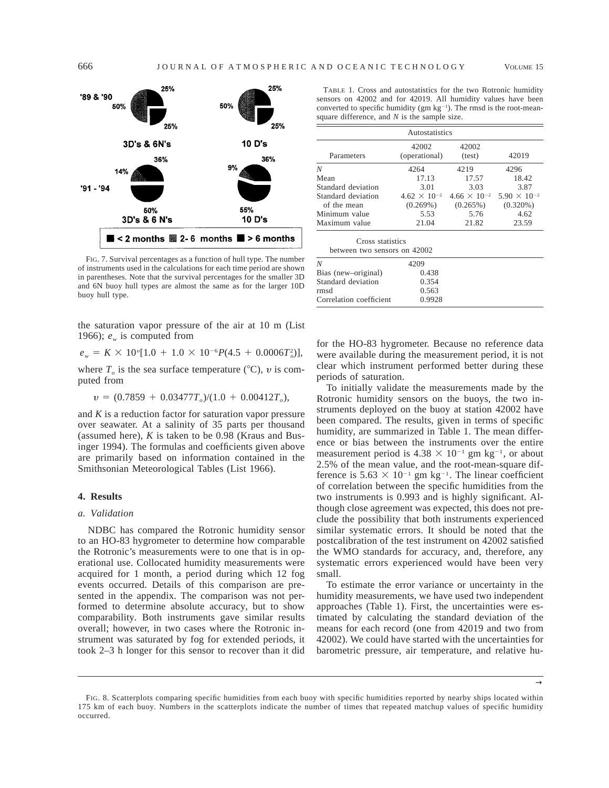

FIG. 7. Survival percentages as a function of hull type. The number of instruments used in the calculations for each time period are shown in parentheses. Note that the survival percentages for the smaller 3D and 6N buoy hull types are almost the same as for the larger 10D buoy hull type.

the saturation vapor pressure of the air at 10 m (List 1966);  $e_w$  is computed from

 $e_w = K \times 10^{v} [1.0 + 1.0 \times 10^{-6} P(4.5 + 0.0006 T_o^2)],$ 

where  $T<sub>o</sub>$  is the sea surface temperature ( $\degree$ C), v is computed from

$$
v = (0.7859 + 0.03477T_o)/(1.0 + 0.00412T_o),
$$

and *K* is a reduction factor for saturation vapor pressure over seawater. At a salinity of 35 parts per thousand (assumed here), *K* is taken to be 0.98 (Kraus and Businger 1994). The formulas and coefficients given above are primarily based on information contained in the Smithsonian Meteorological Tables (List 1966).

#### **4. Results**

# *a. Validation*

NDBC has compared the Rotronic humidity sensor to an HO-83 hygrometer to determine how comparable the Rotronic's measurements were to one that is in operational use. Collocated humidity measurements were acquired for 1 month, a period during which 12 fog events occurred. Details of this comparison are presented in the appendix. The comparison was not performed to determine absolute accuracy, but to show comparability. Both instruments gave similar results overall; however, in two cases where the Rotronic instrument was saturated by fog for extended periods, it took 2–3 h longer for this sensor to recover than it did

TABLE 1. Cross and autostatistics for the two Rotronic humidity sensors on 42002 and for 42019. All humidity values have been converted to specific humidity  $(gm kg^{-1})$ . The rmsd is the root-meansquare difference, and *N* is the sample size.

| Autostatistics               |                        |                       |                       |  |  |
|------------------------------|------------------------|-----------------------|-----------------------|--|--|
| Parameters                   | 42002<br>(operational) | 42002<br>(test)       | 42019                 |  |  |
| N                            | 4264                   | 4219                  | 4296                  |  |  |
| Mean                         | 17.13                  | 17.57                 | 18.42                 |  |  |
| Standard deviation           | 3.01                   | 3.03                  | 3.87                  |  |  |
| Standard deviation           | $4.62 \times 10^{-2}$  | $4.66 \times 10^{-2}$ | $5.90 \times 10^{-2}$ |  |  |
| of the mean                  | (0.269%)               | $(0.265\%)$           | $(0.320\%)$           |  |  |
| Minimum value                | 5.53                   | 5.76                  | 4.62                  |  |  |
| Maximum value                | 21.04                  | 21.82                 | 23.59                 |  |  |
| Cross statistics             |                        |                       |                       |  |  |
| between two sensors on 42002 |                        |                       |                       |  |  |
| N                            | 4209                   |                       |                       |  |  |
| Bias (new-original)          | 0.438                  |                       |                       |  |  |
| Standard deviation           | 0.354                  |                       |                       |  |  |
| rmsd                         | 0.563                  |                       |                       |  |  |
| Correlation coefficient      | 0.9928                 |                       |                       |  |  |

for the HO-83 hygrometer. Because no reference data were available during the measurement period, it is not clear which instrument performed better during these periods of saturation.

To initially validate the measurements made by the Rotronic humidity sensors on the buoys, the two instruments deployed on the buoy at station 42002 have been compared. The results, given in terms of specific humidity, are summarized in Table 1. The mean difference or bias between the instruments over the entire measurement period is  $4.38 \times 10^{-1}$  gm kg<sup>-1</sup>, or about 2.5% of the mean value, and the root-mean-square difference is  $5.63 \times 10^{-1}$  gm kg<sup>-1</sup>. The linear coefficient of correlation between the specific humidities from the two instruments is 0.993 and is highly significant. Although close agreement was expected, this does not preclude the possibility that both instruments experienced similar systematic errors. It should be noted that the postcalibration of the test instrument on 42002 satisfied the WMO standards for accuracy, and, therefore, any systematic errors experienced would have been very small.

To estimate the error variance or uncertainty in the humidity measurements, we have used two independent approaches (Table 1). First, the uncertainties were estimated by calculating the standard deviation of the means for each record (one from 42019 and two from 42002). We could have started with the uncertainties for barometric pressure, air temperature, and relative hu-

 $\rightarrow$ 

FIG. 8. Scatterplots comparing specific humidities from each buoy with specific humidities reported by nearby ships located within 175 km of each buoy. Numbers in the scatterplots indicate the number of times that repeated matchup values of specific humidity occurred.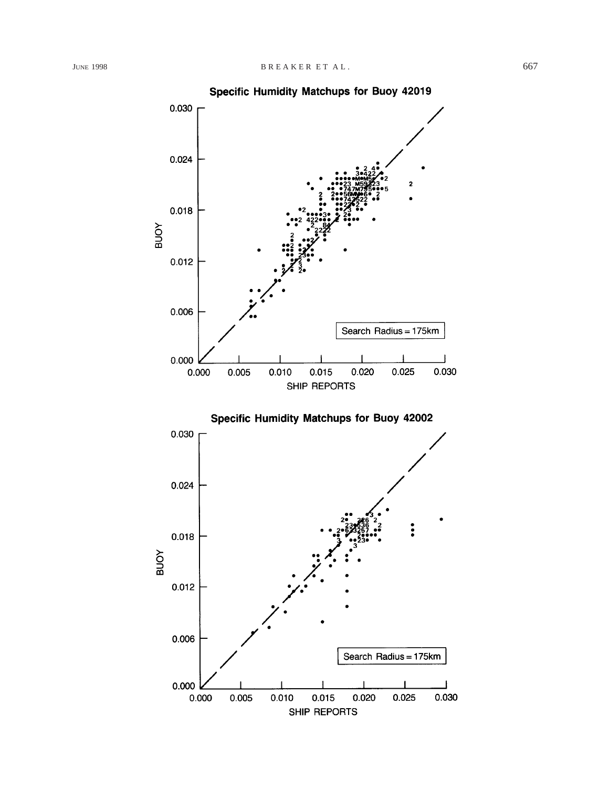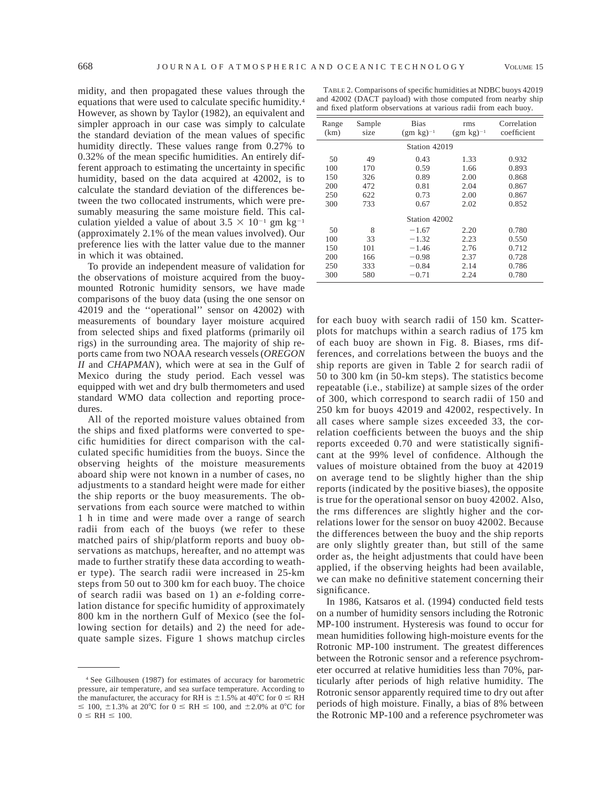midity, and then propagated these values through the equations that were used to calculate specific humidity.4 However, as shown by Taylor (1982), an equivalent and simpler approach in our case was simply to calculate the standard deviation of the mean values of specific humidity directly. These values range from 0.27% to 0.32% of the mean specific humidities. An entirely different approach to estimating the uncertainty in specific humidity, based on the data acquired at 42002, is to calculate the standard deviation of the differences between the two collocated instruments, which were presumably measuring the same moisture field. This calculation yielded a value of about  $3.5 \times 10^{-1}$  gm kg<sup>-1</sup> (approximately 2.1% of the mean values involved). Our preference lies with the latter value due to the manner in which it was obtained.

To provide an independent measure of validation for the observations of moisture acquired from the buoymounted Rotronic humidity sensors, we have made comparisons of the buoy data (using the one sensor on 42019 and the ''operational'' sensor on 42002) with measurements of boundary layer moisture acquired from selected ships and fixed platforms (primarily oil rigs) in the surrounding area. The majority of ship reports came from two NOAA research vessels (*OREGON II* and *CHAPMAN*), which were at sea in the Gulf of Mexico during the study period. Each vessel was equipped with wet and dry bulb thermometers and used standard WMO data collection and reporting procedures.

All of the reported moisture values obtained from the ships and fixed platforms were converted to specific humidities for direct comparison with the calculated specific humidities from the buoys. Since the observing heights of the moisture measurements aboard ship were not known in a number of cases, no adjustments to a standard height were made for either the ship reports or the buoy measurements. The observations from each source were matched to within 1 h in time and were made over a range of search radii from each of the buoys (we refer to these matched pairs of ship/platform reports and buoy observations as matchups, hereafter, and no attempt was made to further stratify these data according to weather type). The search radii were increased in 25-km steps from 50 out to 300 km for each buoy. The choice of search radii was based on 1) an *e*-folding correlation distance for specific humidity of approximately 800 km in the northern Gulf of Mexico (see the following section for details) and 2) the need for adequate sample sizes. Figure 1 shows matchup circles

| and naca piatronin observations at various radii from each buoy. |                |                        |                       |                            |  |  |
|------------------------------------------------------------------|----------------|------------------------|-----------------------|----------------------------|--|--|
| Range<br>(km)                                                    | Sample<br>size | Bias<br>$(gm kg)^{-1}$ | rms<br>$(gm kg)^{-1}$ | Correlation<br>coefficient |  |  |
| Station 42019                                                    |                |                        |                       |                            |  |  |
| 50                                                               | 49             | 0.43                   | 1.33                  | 0.932                      |  |  |
| 100                                                              | 170            | 0.59                   | 1.66                  | 0.893                      |  |  |
| 150                                                              | 326            | 0.89                   | 2.00                  | 0.868                      |  |  |
| 200                                                              | 472            | 0.81                   | 2.04                  | 0.867                      |  |  |
| 250                                                              | 622            | 0.73                   | 2.00                  | 0.867                      |  |  |
| 300                                                              | 733            | 0.67                   | 2.02                  | 0.852                      |  |  |
|                                                                  |                | Station 42002          |                       |                            |  |  |
| 50                                                               | 8              | $-1.67$                | 2.20                  | 0.780                      |  |  |
| 100                                                              | 33             | $-1.32$                | 2.23                  | 0.550                      |  |  |
| 150                                                              | 101            | $-1.46$                | 2.76                  | 0.712                      |  |  |
| 200                                                              | 166            | $-0.98$                | 2.37                  | 0.728                      |  |  |
| 250                                                              | 333            | $-0.84$                | 2.14                  | 0.786                      |  |  |
| 300                                                              | 580            | $-0.71$                | 2.24                  | 0.780                      |  |  |
|                                                                  |                |                        |                       |                            |  |  |

for each buoy with search radii of 150 km. Scatterplots for matchups within a search radius of 175 km of each buoy are shown in Fig. 8. Biases, rms differences, and correlations between the buoys and the ship reports are given in Table 2 for search radii of 50 to 300 km (in 50-km steps). The statistics become repeatable (i.e., stabilize) at sample sizes of the order of 300, which correspond to search radii of 150 and 250 km for buoys 42019 and 42002, respectively. In all cases where sample sizes exceeded 33, the correlation coefficients between the buoys and the ship reports exceeded 0.70 and were statistically significant at the 99% level of confidence. Although the values of moisture obtained from the buoy at 42019 on average tend to be slightly higher than the ship reports (indicated by the positive biases), the opposite is true for the operational sensor on buoy 42002. Also, the rms differences are slightly higher and the correlations lower for the sensor on buoy 42002. Because the differences between the buoy and the ship reports are only slightly greater than, but still of the same order as, the height adjustments that could have been applied, if the observing heights had been available, we can make no definitive statement concerning their significance.

In 1986, Katsaros et al. (1994) conducted field tests on a number of humidity sensors including the Rotronic MP-100 instrument. Hysteresis was found to occur for mean humidities following high-moisture events for the Rotronic MP-100 instrument. The greatest differences between the Rotronic sensor and a reference psychrometer occurred at relative humidities less than 70%, particularly after periods of high relative humidity. The Rotronic sensor apparently required time to dry out after periods of high moisture. Finally, a bias of 8% between the Rotronic MP-100 and a reference psychrometer was

TABLE 2. Comparisons of specific humidities at NDBC buoys 42019 and 42002 (DACT payload) with those computed from nearby ship and fixed platform observations at various radii from each buoy.

<sup>4</sup> See Gilhousen (1987) for estimates of accuracy for barometric pressure, air temperature, and sea surface temperature. According to the manufacturer, the accuracy for RH is  $\pm 1.5\%$  at 40°C for 0  $\leq$  RH  $\leq$  100,  $\pm$ 1.3% at 20°C for  $0 \leq$  RH  $\leq$  100, and  $\pm$ 2.0% at 0°C for  $0 \le RH \le 100.$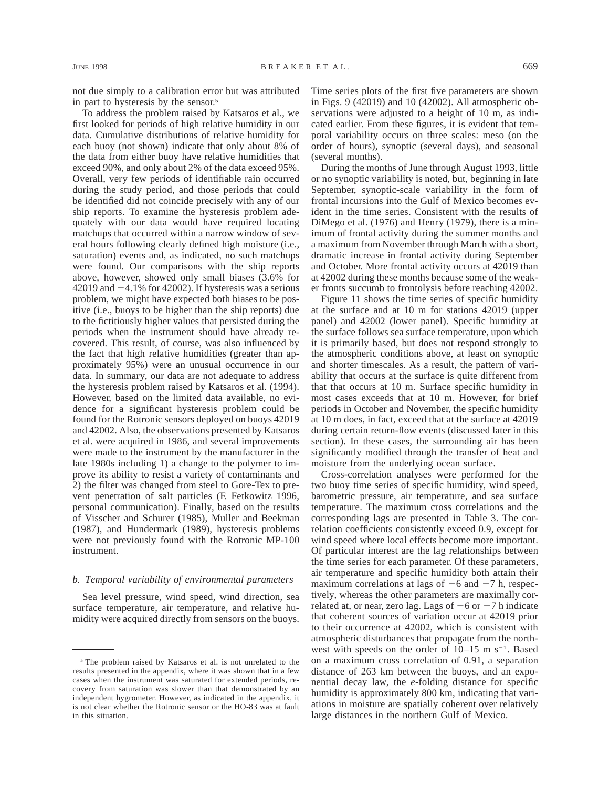not due simply to a calibration error but was attributed in part to hysteresis by the sensor.5

To address the problem raised by Katsaros et al., we first looked for periods of high relative humidity in our data. Cumulative distributions of relative humidity for each buoy (not shown) indicate that only about 8% of the data from either buoy have relative humidities that exceed 90%, and only about 2% of the data exceed 95%. Overall, very few periods of identifiable rain occurred during the study period, and those periods that could be identified did not coincide precisely with any of our ship reports. To examine the hysteresis problem adequately with our data would have required locating matchups that occurred within a narrow window of several hours following clearly defined high moisture (i.e., saturation) events and, as indicated, no such matchups were found. Our comparisons with the ship reports above, however, showed only small biases (3.6% for 42019 and  $-4.1\%$  for 42002). If hysteresis was a serious problem, we might have expected both biases to be positive (i.e., buoys to be higher than the ship reports) due to the fictitiously higher values that persisted during the periods when the instrument should have already recovered. This result, of course, was also influenced by the fact that high relative humidities (greater than approximately 95%) were an unusual occurrence in our data. In summary, our data are not adequate to address the hysteresis problem raised by Katsaros et al. (1994). However, based on the limited data available, no evidence for a significant hysteresis problem could be found for the Rotronic sensors deployed on buoys 42019 and 42002. Also, the observations presented by Katsaros et al. were acquired in 1986, and several improvements were made to the instrument by the manufacturer in the late 1980s including 1) a change to the polymer to improve its ability to resist a variety of contaminants and 2) the filter was changed from steel to Gore-Tex to prevent penetration of salt particles (F. Fetkowitz 1996, personal communication). Finally, based on the results of Visscher and Schurer (1985), Muller and Beekman (1987), and Hundermark (1989), hysteresis problems were not previously found with the Rotronic MP-100 instrument.

# *b. Temporal variability of environmental parameters*

Sea level pressure, wind speed, wind direction, sea surface temperature, air temperature, and relative humidity were acquired directly from sensors on the buoys.

Time series plots of the first five parameters are shown in Figs. 9 (42019) and 10 (42002). All atmospheric observations were adjusted to a height of 10 m, as indicated earlier. From these figures, it is evident that temporal variability occurs on three scales: meso (on the order of hours), synoptic (several days), and seasonal (several months).

During the months of June through August 1993, little or no synoptic variability is noted, but, beginning in late September, synoptic-scale variability in the form of frontal incursions into the Gulf of Mexico becomes evident in the time series. Consistent with the results of DiMego et al. (1976) and Henry (1979), there is a minimum of frontal activity during the summer months and a maximum from November through March with a short, dramatic increase in frontal activity during September and October. More frontal activity occurs at 42019 than at 42002 during these months because some of the weaker fronts succumb to frontolysis before reaching 42002.

Figure 11 shows the time series of specific humidity at the surface and at 10 m for stations 42019 (upper panel) and 42002 (lower panel). Specific humidity at the surface follows sea surface temperature, upon which it is primarily based, but does not respond strongly to the atmospheric conditions above, at least on synoptic and shorter timescales. As a result, the pattern of variability that occurs at the surface is quite different from that that occurs at 10 m. Surface specific humidity in most cases exceeds that at 10 m. However, for brief periods in October and November, the specific humidity at 10 m does, in fact, exceed that at the surface at 42019 during certain return-flow events (discussed later in this section). In these cases, the surrounding air has been significantly modified through the transfer of heat and moisture from the underlying ocean surface.

Cross-correlation analyses were performed for the two buoy time series of specific humidity, wind speed, barometric pressure, air temperature, and sea surface temperature. The maximum cross correlations and the corresponding lags are presented in Table 3. The correlation coefficients consistently exceed 0.9, except for wind speed where local effects become more important. Of particular interest are the lag relationships between the time series for each parameter. Of these parameters, air temperature and specific humidity both attain their maximum correlations at lags of  $-6$  and  $-7$  h, respectively, whereas the other parameters are maximally correlated at, or near, zero lag. Lags of  $-6$  or  $-7$  h indicate that coherent sources of variation occur at 42019 prior to their occurrence at 42002, which is consistent with atmospheric disturbances that propagate from the northwest with speeds on the order of  $10-15$  m s<sup>-1</sup>. Based on a maximum cross correlation of 0.91, a separation distance of 263 km between the buoys, and an exponential decay law, the *e*-folding distance for specific humidity is approximately 800 km, indicating that variations in moisture are spatially coherent over relatively large distances in the northern Gulf of Mexico.

<sup>5</sup> The problem raised by Katsaros et al. is not unrelated to the results presented in the appendix, where it was shown that in a few cases when the instrument was saturated for extended periods, recovery from saturation was slower than that demonstrated by an independent hygrometer. However, as indicated in the appendix, it is not clear whether the Rotronic sensor or the HO-83 was at fault in this situation.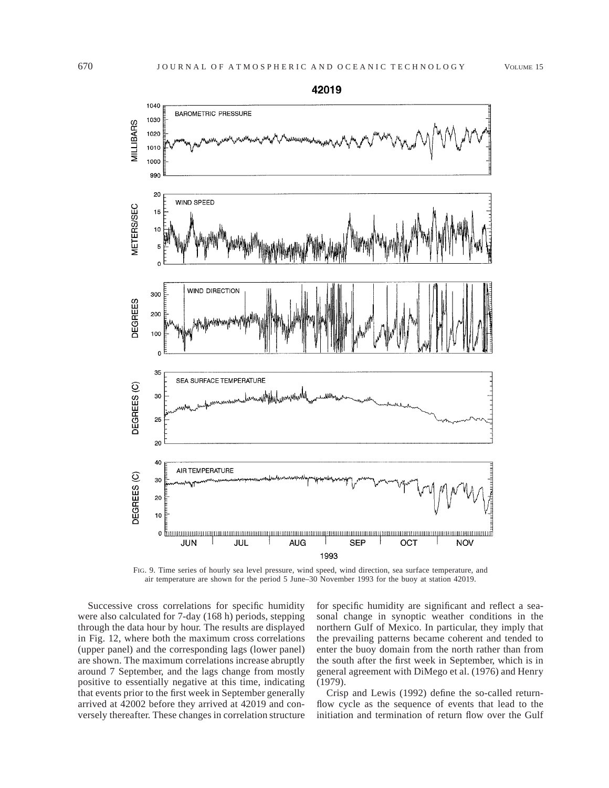

FIG. 9. Time series of hourly sea level pressure, wind speed, wind direction, sea surface temperature, and air temperature are shown for the period 5 June–30 November 1993 for the buoy at station 42019.

Successive cross correlations for specific humidity were also calculated for 7-day (168 h) periods, stepping through the data hour by hour. The results are displayed in Fig. 12, where both the maximum cross correlations (upper panel) and the corresponding lags (lower panel) are shown. The maximum correlations increase abruptly around 7 September, and the lags change from mostly positive to essentially negative at this time, indicating that events prior to the first week in September generally arrived at 42002 before they arrived at 42019 and conversely thereafter. These changes in correlation structure for specific humidity are significant and reflect a seasonal change in synoptic weather conditions in the northern Gulf of Mexico. In particular, they imply that the prevailing patterns became coherent and tended to enter the buoy domain from the north rather than from the south after the first week in September, which is in general agreement with DiMego et al. (1976) and Henry (1979).

Crisp and Lewis (1992) define the so-called returnflow cycle as the sequence of events that lead to the initiation and termination of return flow over the Gulf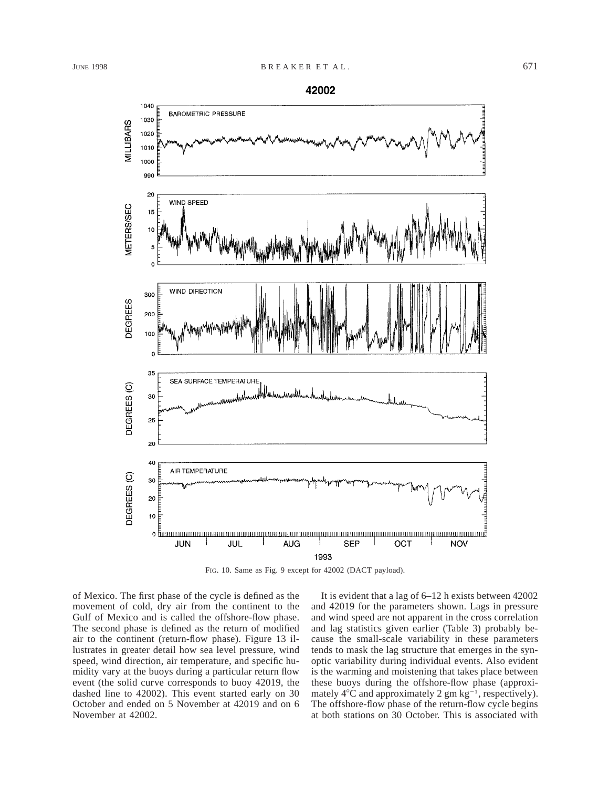

FIG. 10. Same as Fig. 9 except for 42002 (DACT payload).

of Mexico. The first phase of the cycle is defined as the movement of cold, dry air from the continent to the Gulf of Mexico and is called the offshore-flow phase. The second phase is defined as the return of modified air to the continent (return-flow phase). Figure 13 illustrates in greater detail how sea level pressure, wind speed, wind direction, air temperature, and specific humidity vary at the buoys during a particular return flow event (the solid curve corresponds to buoy 42019, the dashed line to 42002). This event started early on 30 October and ended on 5 November at 42019 and on 6 November at 42002.

It is evident that a lag of 6–12 h exists between 42002 and 42019 for the parameters shown. Lags in pressure and wind speed are not apparent in the cross correlation and lag statistics given earlier (Table 3) probably because the small-scale variability in these parameters tends to mask the lag structure that emerges in the synoptic variability during individual events. Also evident is the warming and moistening that takes place between these buoys during the offshore-flow phase (approximately  $4^{\circ}$ C and approximately 2 gm kg<sup>-1</sup>, respectively). The offshore-flow phase of the return-flow cycle begins at both stations on 30 October. This is associated with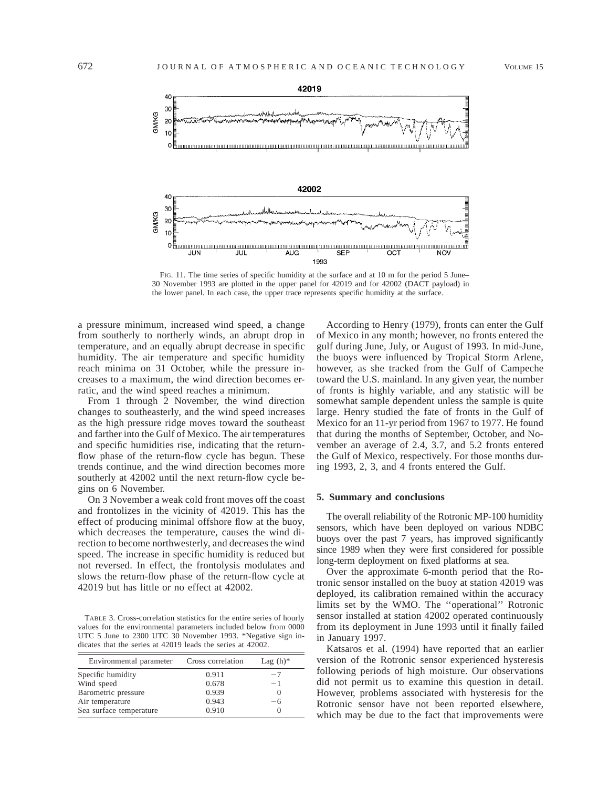

FIG. 11. The time series of specific humidity at the surface and at 10 m for the period 5 June– 30 November 1993 are plotted in the upper panel for 42019 and for 42002 (DACT payload) in the lower panel. In each case, the upper trace represents specific humidity at the surface.

a pressure minimum, increased wind speed, a change from southerly to northerly winds, an abrupt drop in temperature, and an equally abrupt decrease in specific humidity. The air temperature and specific humidity reach minima on 31 October, while the pressure increases to a maximum, the wind direction becomes erratic, and the wind speed reaches a minimum.

From 1 through 2 November, the wind direction changes to southeasterly, and the wind speed increases as the high pressure ridge moves toward the southeast and farther into the Gulf of Mexico. The air temperatures and specific humidities rise, indicating that the returnflow phase of the return-flow cycle has begun. These trends continue, and the wind direction becomes more southerly at 42002 until the next return-flow cycle begins on 6 November.

On 3 November a weak cold front moves off the coast and frontolizes in the vicinity of 42019. This has the effect of producing minimal offshore flow at the buoy, which decreases the temperature, causes the wind direction to become northwesterly, and decreases the wind speed. The increase in specific humidity is reduced but not reversed. In effect, the frontolysis modulates and slows the return-flow phase of the return-flow cycle at 42019 but has little or no effect at 42002.

TABLE 3. Cross-correlation statistics for the entire series of hourly values for the environmental parameters included below from 0000 UTC 5 June to 2300 UTC 30 November 1993. \*Negative sign indicates that the series at 42019 leads the series at 42002.

| Environmental parameter | Cross correlation | Lag $(h)$ <sup>*</sup> |
|-------------------------|-------------------|------------------------|
| Specific humidity       | 0.911             | $-7$                   |
| Wind speed              | 0.678             | $-1$                   |
| Barometric pressure     | 0.939             |                        |
| Air temperature         | 0.943             | $-6$                   |
| Sea surface temperature | 0.910             |                        |

According to Henry (1979), fronts can enter the Gulf of Mexico in any month; however, no fronts entered the gulf during June, July, or August of 1993. In mid-June, the buoys were influenced by Tropical Storm Arlene, however, as she tracked from the Gulf of Campeche toward the U.S. mainland. In any given year, the number of fronts is highly variable, and any statistic will be somewhat sample dependent unless the sample is quite large. Henry studied the fate of fronts in the Gulf of Mexico for an 11-yr period from 1967 to 1977. He found that during the months of September, October, and November an average of 2.4, 3.7, and 5.2 fronts entered the Gulf of Mexico, respectively. For those months during 1993, 2, 3, and 4 fronts entered the Gulf.

# **5. Summary and conclusions**

The overall reliability of the Rotronic MP-100 humidity sensors, which have been deployed on various NDBC buoys over the past 7 years, has improved significantly since 1989 when they were first considered for possible long-term deployment on fixed platforms at sea.

Over the approximate 6-month period that the Rotronic sensor installed on the buoy at station 42019 was deployed, its calibration remained within the accuracy limits set by the WMO. The ''operational'' Rotronic sensor installed at station 42002 operated continuously from its deployment in June 1993 until it finally failed in January 1997.

Katsaros et al. (1994) have reported that an earlier version of the Rotronic sensor experienced hysteresis following periods of high moisture. Our observations did not permit us to examine this question in detail. However, problems associated with hysteresis for the Rotronic sensor have not been reported elsewhere, which may be due to the fact that improvements were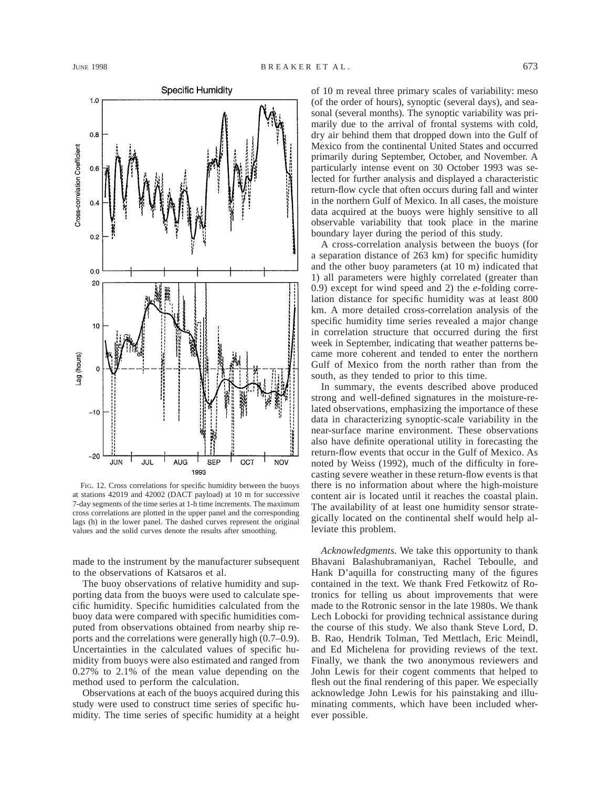

FIG. 12. Cross correlations for specific humidity between the buoys at stations 42019 and 42002 (DACT payload) at 10 m for successive 7-day segments of the time series at 1-h time increments. The maximum cross correlations are plotted in the upper panel and the corresponding lags (h) in the lower panel. The dashed curves represent the original values and the solid curves denote the results after smoothing.

made to the instrument by the manufacturer subsequent to the observations of Katsaros et al.

The buoy observations of relative humidity and supporting data from the buoys were used to calculate specific humidity. Specific humidities calculated from the buoy data were compared with specific humidities computed from observations obtained from nearby ship reports and the correlations were generally high (0.7–0.9). Uncertainties in the calculated values of specific humidity from buoys were also estimated and ranged from 0.27% to 2.1% of the mean value depending on the method used to perform the calculation.

Observations at each of the buoys acquired during this study were used to construct time series of specific humidity. The time series of specific humidity at a height of 10 m reveal three primary scales of variability: meso (of the order of hours), synoptic (several days), and seasonal (several months). The synoptic variability was primarily due to the arrival of frontal systems with cold, dry air behind them that dropped down into the Gulf of Mexico from the continental United States and occurred primarily during September, October, and November. A particularly intense event on 30 October 1993 was selected for further analysis and displayed a characteristic return-flow cycle that often occurs during fall and winter in the northern Gulf of Mexico. In all cases, the moisture data acquired at the buoys were highly sensitive to all observable variability that took place in the marine boundary layer during the period of this study.

A cross-correlation analysis between the buoys (for a separation distance of 263 km) for specific humidity and the other buoy parameters (at 10 m) indicated that 1) all parameters were highly correlated (greater than 0.9) except for wind speed and 2) the *e*-folding correlation distance for specific humidity was at least 800 km. A more detailed cross-correlation analysis of the specific humidity time series revealed a major change in correlation structure that occurred during the first week in September, indicating that weather patterns became more coherent and tended to enter the northern Gulf of Mexico from the north rather than from the south, as they tended to prior to this time.

In summary, the events described above produced strong and well-defined signatures in the moisture-related observations, emphasizing the importance of these data in characterizing synoptic-scale variability in the near-surface marine environment. These observations also have definite operational utility in forecasting the return-flow events that occur in the Gulf of Mexico. As noted by Weiss (1992), much of the difficulty in forecasting severe weather in these return-flow events is that there is no information about where the high-moisture content air is located until it reaches the coastal plain. The availability of at least one humidity sensor strategically located on the continental shelf would help alleviate this problem.

*Acknowledgments.* We take this opportunity to thank Bhavani Balashubramaniyan, Rachel Teboulle, and Hank D'aquilla for constructing many of the figures contained in the text. We thank Fred Fetkowitz of Rotronics for telling us about improvements that were made to the Rotronic sensor in the late 1980s. We thank Lech Lobocki for providing technical assistance during the course of this study. We also thank Steve Lord, D. B. Rao, Hendrik Tolman, Ted Mettlach, Eric Meindl, and Ed Michelena for providing reviews of the text. Finally, we thank the two anonymous reviewers and John Lewis for their cogent comments that helped to flesh out the final rendering of this paper. We especially acknowledge John Lewis for his painstaking and illuminating comments, which have been included wherever possible.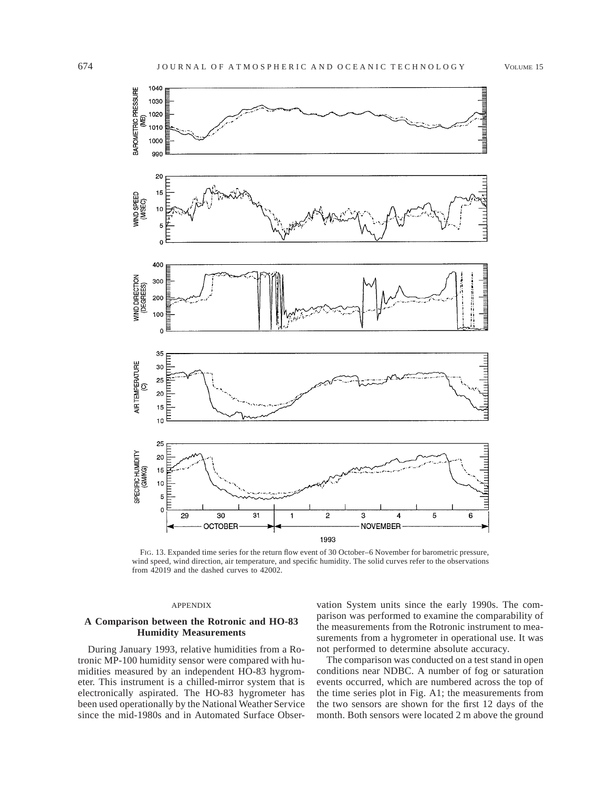

FIG. 13. Expanded time series for the return flow event of 30 October–6 November for barometric pressure, wind speed, wind direction, air temperature, and specific humidity. The solid curves refer to the observations from 42019 and the dashed curves to 42002.

#### APPENDIX

## **A Comparison between the Rotronic and HO-83 Humidity Measurements**

During January 1993, relative humidities from a Rotronic MP-100 humidity sensor were compared with humidities measured by an independent HO-83 hygrometer. This instrument is a chilled-mirror system that is electronically aspirated. The HO-83 hygrometer has been used operationally by the National Weather Service since the mid-1980s and in Automated Surface Obser-

vation System units since the early 1990s. The comparison was performed to examine the comparability of the measurements from the Rotronic instrument to measurements from a hygrometer in operational use. It was not performed to determine absolute accuracy.

The comparison was conducted on a test stand in open conditions near NDBC. A number of fog or saturation events occurred, which are numbered across the top of the time series plot in Fig. A1; the measurements from the two sensors are shown for the first 12 days of the month. Both sensors were located 2 m above the ground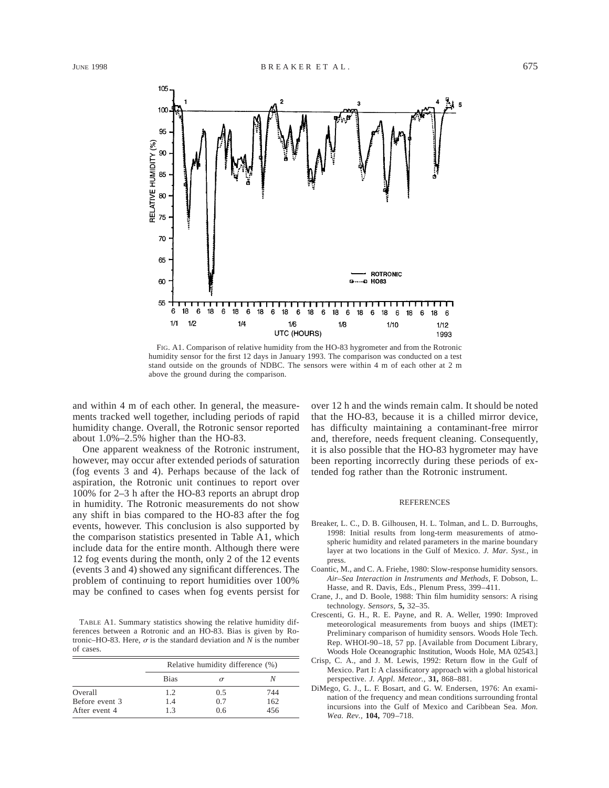

FIG. A1. Comparison of relative humidity from the HO-83 hygrometer and from the Rotronic humidity sensor for the first 12 days in January 1993. The comparison was conducted on a test stand outside on the grounds of NDBC. The sensors were within 4 m of each other at 2 m above the ground during the comparison.

and within 4 m of each other. In general, the measurements tracked well together, including periods of rapid humidity change. Overall, the Rotronic sensor reported about 1.0%–2.5% higher than the HO-83.

One apparent weakness of the Rotronic instrument, however, may occur after extended periods of saturation (fog events 3 and 4). Perhaps because of the lack of aspiration, the Rotronic unit continues to report over 100% for 2–3 h after the HO-83 reports an abrupt drop in humidity. The Rotronic measurements do not show any shift in bias compared to the HO-83 after the fog events, however. This conclusion is also supported by the comparison statistics presented in Table A1, which include data for the entire month. Although there were 12 fog events during the month, only 2 of the 12 events (events 3 and 4) showed any significant differences. The problem of continuing to report humidities over 100% may be confined to cases when fog events persist for

TABLE A1. Summary statistics showing the relative humidity differences between a Rotronic and an HO-83. Bias is given by Rotronic–HO-83. Here,  $\sigma$  is the standard deviation and *N* is the number of cases.

|                | Relative humidity difference (%) |     |     |  |
|----------------|----------------------------------|-----|-----|--|
|                | <b>Bias</b>                      |     |     |  |
| Overall        | 1.2                              | 0.5 | 744 |  |
| Before event 3 | 14                               | 0.7 | 162 |  |
| After event 4  | 13                               | 0.6 | 456 |  |

over 12 h and the winds remain calm. It should be noted that the HO-83, because it is a chilled mirror device, has difficulty maintaining a contaminant-free mirror and, therefore, needs frequent cleaning. Consequently, it is also possible that the HO-83 hygrometer may have been reporting incorrectly during these periods of extended fog rather than the Rotronic instrument.

#### **REFERENCES**

- Breaker, L. C., D. B. Gilhousen, H. L. Tolman, and L. D. Burroughs, 1998: Initial results from long-term measurements of atmospheric humidity and related parameters in the marine boundary layer at two locations in the Gulf of Mexico. *J. Mar. Syst.,* in press.
- Coantic, M., and C. A. Friehe, 1980: Slow-response humidity sensors. *Air*–*Sea Interaction in Instruments and Methods,* F. Dobson, L. Hasse, and R. Davis, Eds., Plenum Press, 399–411.
- Crane, J., and D. Boole, 1988: Thin film humidity sensors: A rising technology. *Sensors,* **5,** 32–35.
- Crescenti, G. H., R. E. Payne, and R. A. Weller, 1990: Improved meteorological measurements from buoys and ships (IMET): Preliminary comparison of humidity sensors. Woods Hole Tech. Rep. WHOI-90–18, 57 pp. [Available from Document Library, Woods Hole Oceanographic Institution, Woods Hole, MA 02543.]
- Crisp, C. A., and J. M. Lewis, 1992: Return flow in the Gulf of Mexico. Part I: A classificatory approach with a global historical perspective. *J. Appl. Meteor.,* **31,** 868–881.
- DiMego, G. J., L. F. Bosart, and G. W. Endersen, 1976: An examination of the frequency and mean conditions surrounding frontal incursions into the Gulf of Mexico and Caribbean Sea. *Mon. Wea. Rev.,* **104,** 709–718.